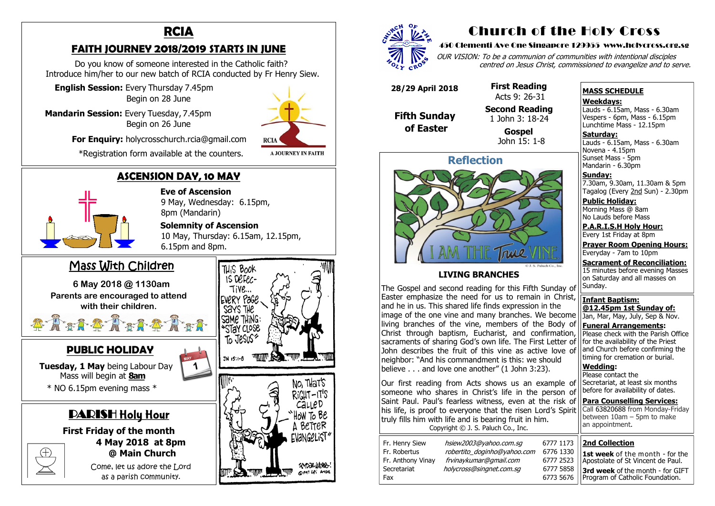## **ASCENSION DAY, 10 MAY**

 **Eve of Ascension**  9 May, Wednesday: 6.15pm, 8pm (Mandarin)

#### **Solemnity of Ascension**

 10 May, Thursday: 6.15am, 12.15pm, 6.15pm and 8pm.

Come, let us adore the Lord as a parish community.



**A JOURNEY IN FAITH** 



**First Friday of the month 4 May 2018 at 8pm @ Main Church**



### **FAITH JOURNEY 2018/2019 STARTS IN JUNE**

 Do you know of someone interested in the Catholic faith? Introduce him/her to our new batch of RCIA conducted by Fr Henry Siew.

 **English Session:** Every Thursday 7.45pm Begin on 28 June

**Mandarin Session:** Every Tuesday, 7.45pm Begin on 26 June

**For Enquiry:** holycrosschurch.rcia@gmail.com

\*Registration form available at the counters.



## **PUBLIC HOLIDAY**

**Saturday:** Lauds - 6.15am, Mass - 6.30am Novena - 4.15pm Sunset Mass - 5pm Mandarin - 6.30pm

 **Tuesday, 1 May** being Labour Day Mass will begin at **8am** \* NO 6.15pm evening mass \*

# DARISH Holy Hour

## Mass With Children

**6 May 2018 @ 1130am Parents are encouraged to attend with their children.**

# Church of the Holy Cross

#### 450 Clementi Ave One Singapore 129955 www.holycross.org.sg

OUR VISION: To be a communion of communities with intentional disciples centred on Jesus Christ, commissioned to evangelize and to serve.

#### **MASS SCHEDULE**

**Weekdays:**

Lauds - 6.15am, Mass - 6.30am Vespers - 6pm, Mass - 6.15pm Lunchtime Mass - 12.15pm

**Sunday:** 7.30am, 9.30am, 11.30am & 5pm Tagalog (Every 2nd Sun) - 2.30pm

**Public Holiday:**  Morning Mass @ 8am No Lauds before Mass

**P.A.R.I.S.H Holy Hour:** Every 1st Friday at 8pm

**Prayer Room Opening Hours:** Everyday - 7am to 10pm

**Sacrament of Reconciliation:** 15 minutes before evening Masses on Saturday and all masses on Sunday.

**Infant Baptism: @12.45pm 1st Sunday of:** Jan, Mar, May, July, Sep & Nov.

**Funeral Arrangements:**  Please check with the Parish Office for the availability of the Priest and Church before confirming the timing for cremation or burial.

**Wedding:**  Please contact the Secretariat, at least six months before for availability of dates.

**Para Counselling Services:** Call [63820688](tel:+6563820688) from Monday-Friday between 10am – 5pm to make an appointment.



#### **LIVING BRANCHES**

The Gospel and second reading for this Fifth Sunday of Easter emphasize the need for us to remain in Christ, and he in us. This shared life finds expression in the image of the one vine and many branches. We become living branches of the vine, members of the Body of Christ through baptism, Eucharist, and confirmation, sacraments of sharing God's own life. The First Letter of John describes the fruit of this vine as active love of neighbor: "And his commandment is this: we should believe . . . and love one another" (1 John 3:23).

Our first reading from Acts shows us an example of someone who shares in Christ's life in the person of Saint Paul. Paul's fearless witness, even at the risk of his life, is proof to everyone that the risen Lord's Spirit truly fills him with life and is bearing fruit in him. Copyright © J. S. Paluch Co., Inc.

| Fr. Henry Siew    | hsiew2003@yahoo.com.sg     |
|-------------------|----------------------------|
| Fr. Robertus      | robertito_doginho@yahoo.co |
| Fr. Anthony Vinay | frvinaykumar@gmail.com     |
| Secretariat       | holycross@singnet.com.sg   |
| Fax               |                            |

6777 1173 Fr. 6776 1330 Fr. Anthony Vinay frvinaykumar@gmail.com 6777 2523 6777 5858 6773 5676

 **28/29 April 2018**

 **Fifth Sunday of Easter** 

 **First Reading**  Acts 9: 26-31

 **Second Reading** 1 John 3: 18-24

> **Gospel** John 15: 1-8

#### **2nd Collection**

**1st week** of the month - for the Apostolate of St Vincent de Paul.

**3rd week** of the month - for GIFT Program of Catholic Foundation.